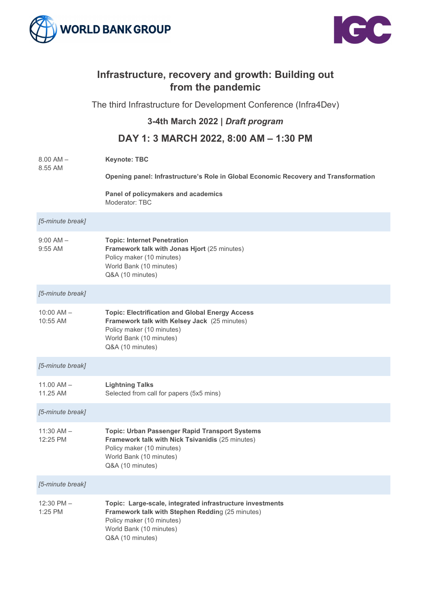



## **Infrastructure, recovery and growth: Building out from the pandemic**

The third Infrastructure for Development Conference (Infra4Dev)

## **3-4th March 2022 |** *Draft program*

## **DAY 1: 3 MARCH 2022, 8:00 AM – 1:30 PM**

| $8.00$ AM $-$<br>8.55 AM   | <b>Keynote: TBC</b>                                                                                                                                                                       |
|----------------------------|-------------------------------------------------------------------------------------------------------------------------------------------------------------------------------------------|
|                            | Opening panel: Infrastructure's Role in Global Economic Recovery and Transformation                                                                                                       |
|                            | Panel of policymakers and academics<br>Moderator: TBC                                                                                                                                     |
| [5-minute break]           |                                                                                                                                                                                           |
| $9:00$ AM $-$<br>$9:55$ AM | <b>Topic: Internet Penetration</b><br>Framework talk with Jonas Hjort (25 minutes)<br>Policy maker (10 minutes)<br>World Bank (10 minutes)<br>Q&A (10 minutes)                            |
| [5-minute break]           |                                                                                                                                                                                           |
| $10:00$ AM $-$<br>10:55 AM | <b>Topic: Electrification and Global Energy Access</b><br>Framework talk with Kelsey Jack (25 minutes)<br>Policy maker (10 minutes)<br>World Bank (10 minutes)<br>Q&A (10 minutes)        |
| [5-minute break]           |                                                                                                                                                                                           |
| $11.00$ AM $-$<br>11.25 AM | <b>Lightning Talks</b><br>Selected from call for papers (5x5 mins)                                                                                                                        |
| [5-minute break]           |                                                                                                                                                                                           |
| $11:30$ AM $-$<br>12:25 PM | <b>Topic: Urban Passenger Rapid Transport Systems</b><br>Framework talk with Nick Tsivanidis (25 minutes)<br>Policy maker (10 minutes)<br>World Bank (10 minutes)<br>Q&A (10 minutes)     |
| [5-minute break]           |                                                                                                                                                                                           |
| $12:30$ PM $-$<br>1:25 PM  | Topic: Large-scale, integrated infrastructure investments<br>Framework talk with Stephen Redding (25 minutes)<br>Policy maker (10 minutes)<br>World Bank (10 minutes)<br>Q&A (10 minutes) |